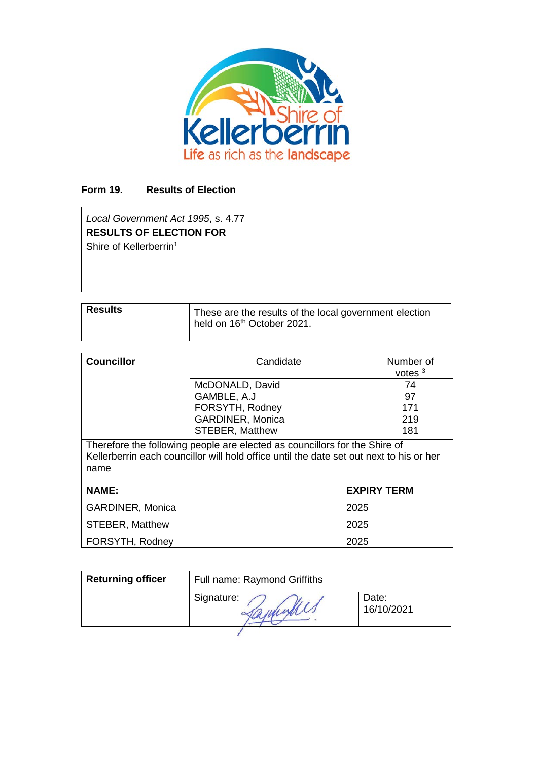

# **Form 19. Results of Election**

*Local Government Act 1995*, s. 4.77 **RESULTS OF ELECTION FOR** Shire of Kellerberrin<sup>1</sup>

| <b>Results</b> | These are the results of the local government election<br>held on 16 <sup>th</sup> October 2021. |
|----------------|--------------------------------------------------------------------------------------------------|

| <b>Councillor</b> | Candidate               | Number of<br>votes $3$ |
|-------------------|-------------------------|------------------------|
|                   | McDONALD, David         | 74                     |
|                   | GAMBLE, A.J             | 97                     |
|                   | FORSYTH, Rodney         | 171                    |
|                   | <b>GARDINER, Monica</b> | 219                    |
|                   | <b>STEBER, Matthew</b>  | 181                    |

Therefore the following people are elected as councillors for the Shire of Kellerberrin each councillor will hold office until the date set out next to his or her name

| <b>NAME:</b>            | <b>EXPIRY TERM</b> |
|-------------------------|--------------------|
| <b>GARDINER, Monica</b> | 2025               |
| <b>STEBER, Matthew</b>  | 2025               |
| FORSYTH, Rodney         | 2025               |

| <b>Returning officer</b> | Full name: Raymond Griffiths |                     |  |
|--------------------------|------------------------------|---------------------|--|
|                          | Signature:                   | Date:<br>16/10/2021 |  |
|                          |                              |                     |  |